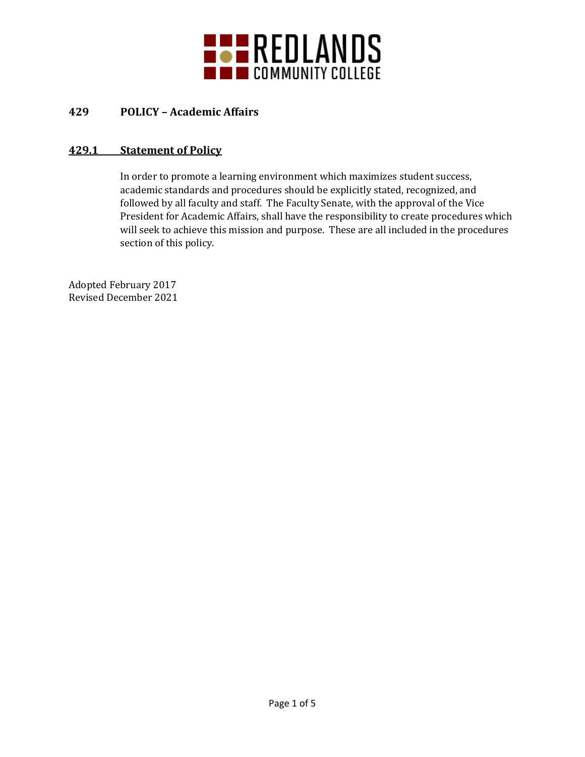

# **429 POLICY – Academic Affairs**

## **429.1 Statement of Policy**

In order to promote a learning environment which maximizes student success, academic standards and procedures should be explicitly stated, recognized, and followed by all faculty and staff. The Faculty Senate, with the approval of the Vice President for Academic Affairs, shall have the responsibility to create procedures which will seek to achieve this mission and purpose. These are all included in the procedures section of this policy.

Adopted February 2017 Revised December 2021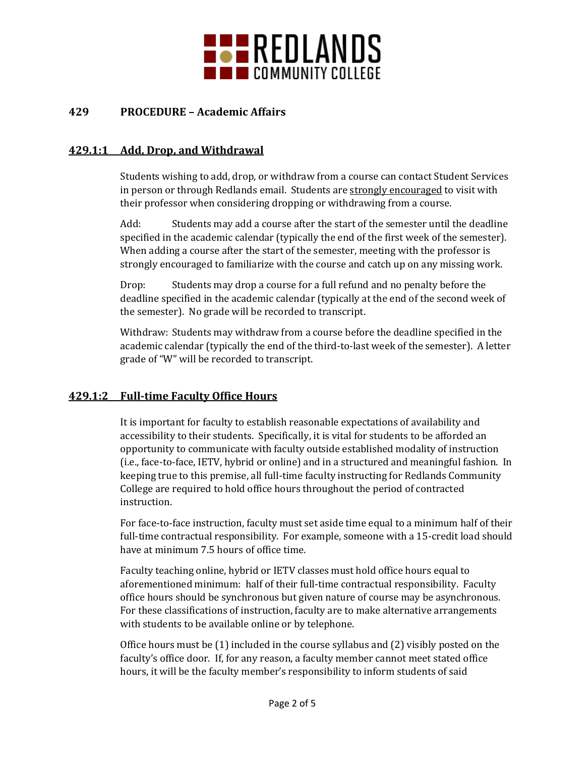

## **429 PROCEDURE – Academic Affairs**

#### **429.1:1 Add, Drop, and Withdrawal**

Students wishing to add, drop, or withdraw from a course can contact Student Services in person or through Redlands email. Students are strongly encouraged to visit with their professor when considering dropping or withdrawing from a course.

Add: Students may add a course after the start of the semester until the deadline specified in the academic calendar (typically the end of the first week of the semester). When adding a course after the start of the semester, meeting with the professor is strongly encouraged to familiarize with the course and catch up on any missing work.

Drop: Students may drop a course for a full refund and no penalty before the deadline specified in the academic calendar (typically at the end of the second week of the semester). No grade will be recorded to transcript.

Withdraw: Students may withdraw from a course before the deadline specified in the academic calendar (typically the end of the third-to-last week of the semester). A letter grade of "W" will be recorded to transcript.

#### **429.1:2 Full-time Faculty Office Hours**

It is important for faculty to establish reasonable expectations of availability and accessibility to their students. Specifically, it is vital for students to be afforded an opportunity to communicate with faculty outside established modality of instruction (i.e., face-to-face, IETV, hybrid or online) and in a structured and meaningful fashion. In keeping true to this premise, all full-time faculty instructing for Redlands Community College are required to hold office hours throughout the period of contracted instruction.

For face-to-face instruction, faculty must set aside time equal to a minimum half of their full-time contractual responsibility. For example, someone with a 15-credit load should have at minimum 7.5 hours of office time.

Faculty teaching online, hybrid or IETV classes must hold office hours equal to aforementioned minimum: half of their full-time contractual responsibility. Faculty office hours should be synchronous but given nature of course may be asynchronous. For these classifications of instruction, faculty are to make alternative arrangements with students to be available online or by telephone.

Office hours must be (1) included in the course syllabus and (2) visibly posted on the faculty's office door. If, for any reason, a faculty member cannot meet stated office hours, it will be the faculty member's responsibility to inform students of said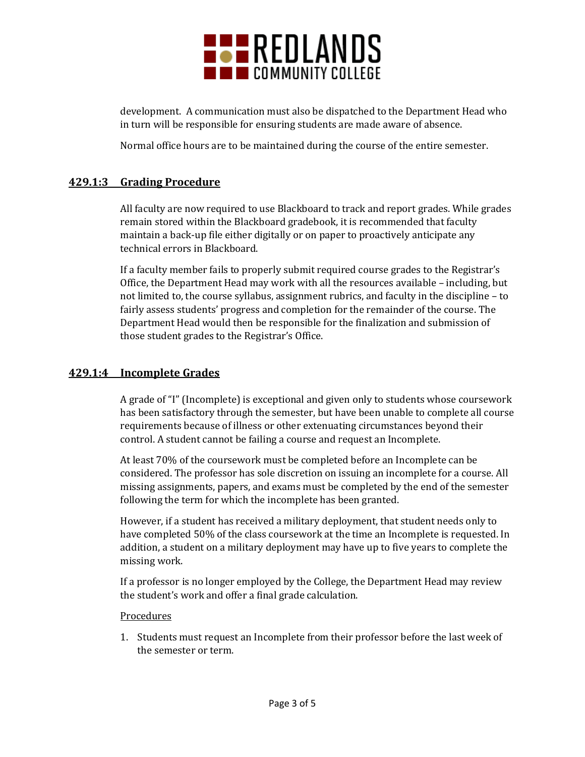

development. A communication must also be dispatched to the Department Head who in turn will be responsible for ensuring students are made aware of absence.

Normal office hours are to be maintained during the course of the entire semester.

### **429.1:3 Grading Procedure**

All faculty are now required to use Blackboard to track and report grades. While grades remain stored within the Blackboard gradebook, it is recommended that faculty maintain a back-up file either digitally or on paper to proactively anticipate any technical errors in Blackboard.

If a faculty member fails to properly submit required course grades to the Registrar's Office, the Department Head may work with all the resources available – including, but not limited to, the course syllabus, assignment rubrics, and faculty in the discipline – to fairly assess students' progress and completion for the remainder of the course. The Department Head would then be responsible for the finalization and submission of those student grades to the Registrar's Office.

#### **429.1:4 Incomplete Grades**

A grade of "I" (Incomplete) is exceptional and given only to students whose coursework has been satisfactory through the semester, but have been unable to complete all course requirements because of illness or other extenuating circumstances beyond their control. A student cannot be failing a course and request an Incomplete.

At least 70% of the coursework must be completed before an Incomplete can be considered. The professor has sole discretion on issuing an incomplete for a course. All missing assignments, papers, and exams must be completed by the end of the semester following the term for which the incomplete has been granted.

However, if a student has received a military deployment, that student needs only to have completed 50% of the class coursework at the time an Incomplete is requested. In addition, a student on a military deployment may have up to five years to complete the missing work.

If a professor is no longer employed by the College, the Department Head may review the student's work and offer a final grade calculation.

#### Procedures

1. Students must request an Incomplete from their professor before the last week of the semester or term.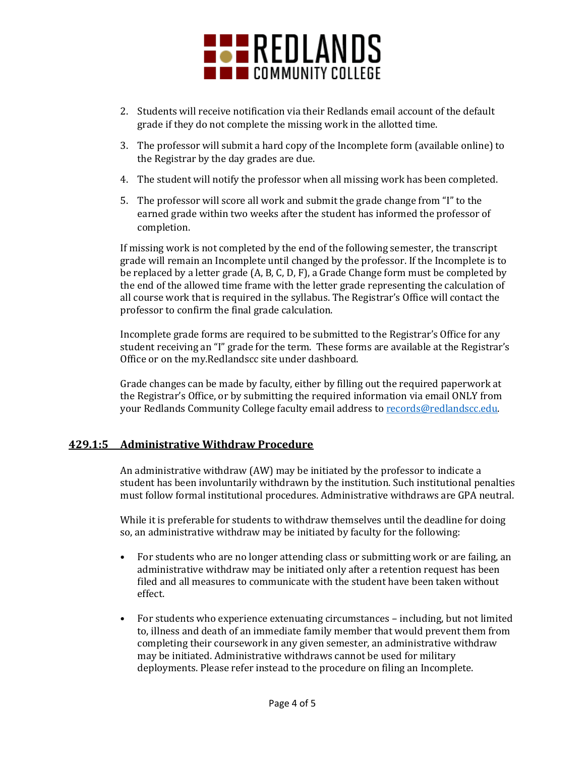

- 2. Students will receive notification via their Redlands email account of the default grade if they do not complete the missing work in the allotted time.
- 3. The professor will submit a hard copy of the Incomplete form (available online) to the Registrar by the day grades are due.
- 4. The student will notify the professor when all missing work has been completed.
- 5. The professor will score all work and submit the grade change from "I" to the earned grade within two weeks after the student has informed the professor of completion.

If missing work is not completed by the end of the following semester, the transcript grade will remain an Incomplete until changed by the professor. If the Incomplete is to be replaced by a letter grade (A, B, C, D, F), a Grade Change form must be completed by the end of the allowed time frame with the letter grade representing the calculation of all course work that is required in the syllabus. The Registrar's Office will contact the professor to confirm the final grade calculation.

Incomplete grade forms are required to be submitted to the Registrar's Office for any student receiving an "I" grade for the term. These forms are available at the Registrar's Office or on the my.Redlandscc site under dashboard.

Grade changes can be made by faculty, either by filling out the required paperwork at the Registrar's Office, or by submitting the required information via email ONLY from your Redlands Community College faculty email address to [records@redlandscc.edu.](mailto:records@redlandscc.edu)

#### **429.1:5 Administrative Withdraw Procedure**

An administrative withdraw (AW) may be initiated by the professor to indicate a student has been involuntarily withdrawn by the institution. Such institutional penalties must follow formal institutional procedures. Administrative withdraws are GPA neutral.

While it is preferable for students to withdraw themselves until the deadline for doing so, an administrative withdraw may be initiated by faculty for the following:

- For students who are no longer attending class or submitting work or are failing, an administrative withdraw may be initiated only after a retention request has been filed and all measures to communicate with the student have been taken without effect.
- For students who experience extenuating circumstances including, but not limited to, illness and death of an immediate family member that would prevent them from completing their coursework in any given semester, an administrative withdraw may be initiated. Administrative withdraws cannot be used for military deployments. Please refer instead to the procedure on filing an Incomplete.